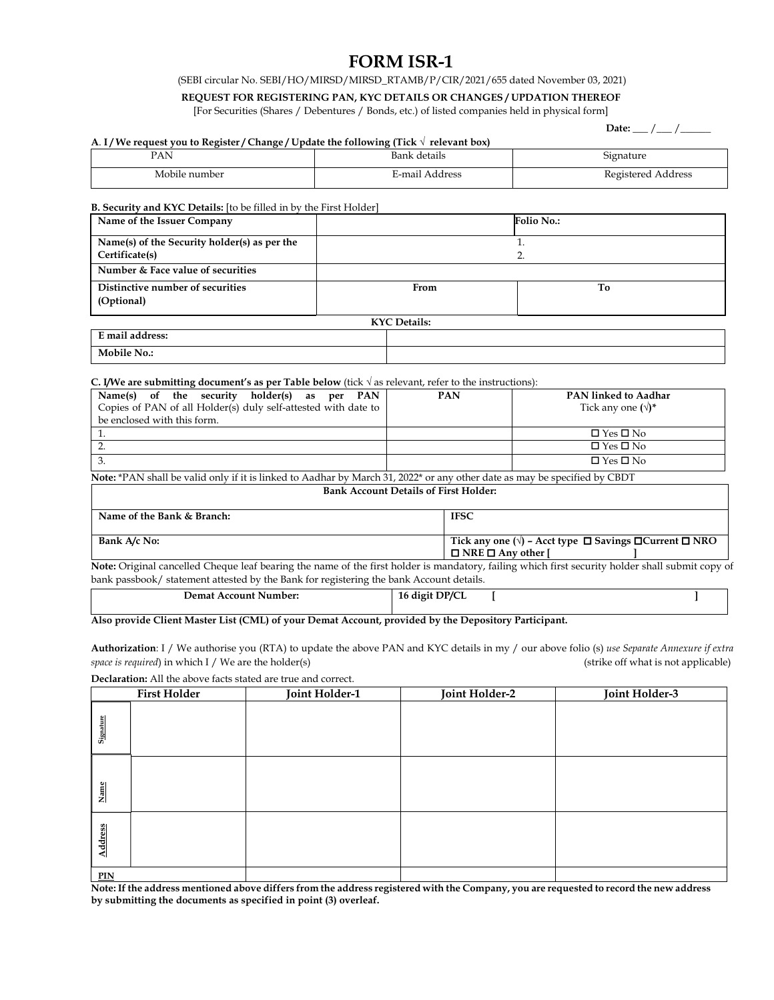# **FORM ISR-1**

(SEBI circular No. SEBI/HO/MIRSD/MIRSD\_RTAMB/P/CIR/2021/655 dated November 03, 2021)

# **REQUEST FOR REGISTERING PAN, KYC DETAILS OR CHANGES / UPDATION THEREOF**

[For Securities (Shares / Debentures / Bonds, etc.) of listed companies held in physical form]

 $Date:$   $\_$  /  $\_$ 

#### **A**. **I / We request you to Register / Change / Update the following (Tick √ relevant box)**

| PAN<br>$\sim$ | details<br>Bank<br>. | $\sim$<br><b>Signature</b><br>. |
|---------------|----------------------|---------------------------------|
| Mobile number | E-mail Address       | Registered Address              |

#### **B. Security and KYC Details:** [to be filled in by the First Holder]

| Name of the Issuer Company                   |    |      | Folio No.: |
|----------------------------------------------|----|------|------------|
| Name(s) of the Security holder(s) as per the |    |      |            |
| Certificate(s)                               | 2. |      |            |
| Number & Face value of securities            |    |      |            |
| Distinctive number of securities             |    | From | To         |
| (Optional)                                   |    |      |            |
| <b>KYC</b> Details:                          |    |      |            |
| E mail address:                              |    |      |            |
| <b>Mobile No.:</b>                           |    |      |            |

## **C. I/We are submitting document's as per Table below** (tick √ as relevant, refer to the instructions):

| Name(s) of the security holder(s) as per PAN<br>Copies of PAN of all Holder(s) duly self-attested with date to | <b>PAN</b> | PAN linked to Aadhar<br>Tick any one $(\sqrt)$ * |
|----------------------------------------------------------------------------------------------------------------|------------|--------------------------------------------------|
| be enclosed with this form.                                                                                    |            |                                                  |
|                                                                                                                |            | $\Box$ Yes $\Box$ No                             |
|                                                                                                                |            | $\Box$ Yes $\Box$ No                             |
|                                                                                                                |            | $\Box$ Yes $\Box$ No                             |

**Note:** \*PAN shall be valid only if it is linked to Aadhar by March 31, 2022\* or any other date as may be specified by CBDT

#### **Bank Account Details of First Holder:**

| Name of the Bank & Branch: | <b>IFSC</b>                                                                                                       |
|----------------------------|-------------------------------------------------------------------------------------------------------------------|
| Bank A/c No:               | Tick any one ( $\sqrt{ }$ ) – Acct type $\Box$ Savings $\Box$ Current $\Box$ NRO<br>$\Box$ NRE $\Box$ Any other I |

**Note:** Original cancelled Cheque leaf bearing the name of the first holder is mandatory, failing which first security holder shall submit copy of bank passbook/ statement attested by the Bank for registering the bank Account details.

| Demat Account Number: | 16 digit DP/CL |  |
|-----------------------|----------------|--|
|                       |                |  |

### **Also provide Client Master List (CML) of your Demat Account, provided by the Depository Participant.**

**Authorization**: I / We authorise you (RTA) to update the above PAN and KYC details in my / our above folio (s) *use Separate Annexure if extra space is required*) in which I / We are the holder(s) (strike off what is not applicable)

**Declaration:** All the above facts stated are true and correct.

|           | <b>First Holder</b> | Joint Holder-1 | Joint Holder-2 | Joint Holder-3 |
|-----------|---------------------|----------------|----------------|----------------|
| Signature |                     |                |                |                |
| Name      |                     |                |                |                |
| Address   |                     |                |                |                |
| PIN       |                     |                |                |                |

**Note: If the address mentioned above differs from the address registered with the Company, you are requested to record the new address by submitting the documents as specified in point (3) overleaf.**